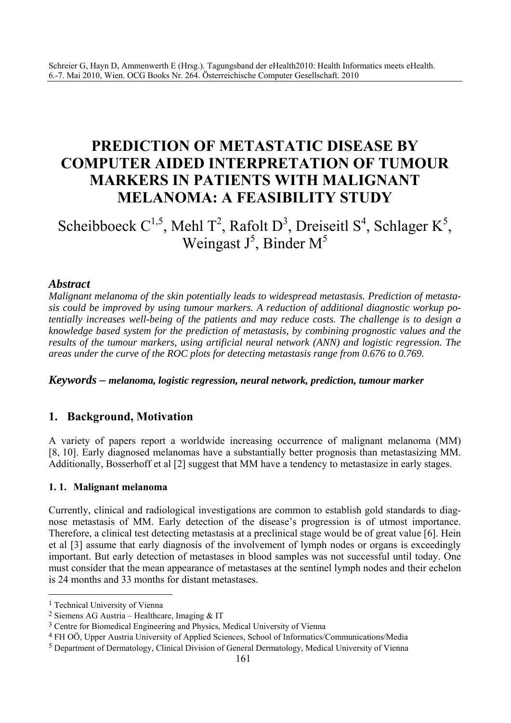# **PREDICTION OF METASTATIC DISEASE BY COMPUTER AIDED INTERPRETATION OF TUMOUR MARKERS IN PATIENTS WITH MALIGNANT MELANOMA: A FEASIBILITY STUDY**

Scheibboeck  $C^{1,5}$ , Mehl T<sup>2</sup>, Rafolt D<sup>3</sup>, Dreiseitl S<sup>4</sup>, Schlager K<sup>5</sup>, Weingast  $J^5$ , Binder M<sup>5</sup>

## *Abstract*

*Malignant melanoma of the skin potentially leads to widespread metastasis. Prediction of metastasis could be improved by using tumour markers. A reduction of additional diagnostic workup potentially increases well-being of the patients and may reduce costs. The challenge is to design a knowledge based system for the prediction of metastasis, by combining prognostic values and the results of the tumour markers, using artificial neural network (ANN) and logistic regression. The areas under the curve of the ROC plots for detecting metastasis range from 0.676 to 0.769.* 

*Keywords – melanoma, logistic regression, neural network, prediction, tumour marker* 

# **1. Background, Motivation**

A variety of papers report a worldwide increasing occurrence of malignant melanoma (MM) [8, 10]. Early diagnosed melanomas have a substantially better prognosis than metastasizing MM. Additionally, Bosserhoff et al [2] suggest that MM have a tendency to metastasize in early stages.

### **1. 1. Malignant melanoma**

Currently, clinical and radiological investigations are common to establish gold standards to diagnose metastasis of MM. Early detection of the disease's progression is of utmost importance. Therefore, a clinical test detecting metastasis at a preclinical stage would be of great value [6]. Hein et al [3] assume that early diagnosis of the involvement of lymph nodes or organs is exceedingly important. But early detection of metastases in blood samples was not successful until today. One must consider that the mean appearance of metastases at the sentinel lymph nodes and their echelon is 24 months and 33 months for distant metastases.

 $\overline{a}$ 

<sup>1</sup> Technical University of Vienna

<sup>2</sup> Siemens AG Austria – Healthcare, Imaging & IT

<sup>3</sup> Centre for Biomedical Engineering and Physics, Medical University of Vienna

<sup>4</sup> FH OÖ, Upper Austria University of Applied Sciences, School of Informatics/Communications/Media

<sup>5</sup> Department of Dermatology, Clinical Division of General Dermatology, Medical University of Vienna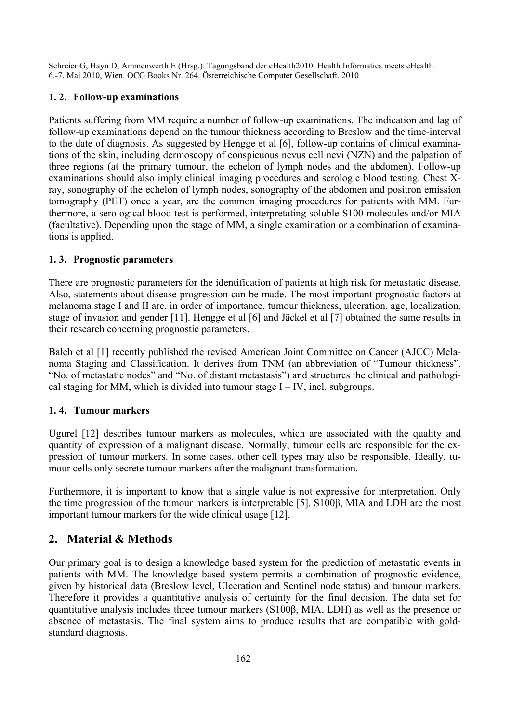### **1. 2. Follow-up examinations**

Patients suffering from MM require a number of follow-up examinations. The indication and lag of follow-up examinations depend on the tumour thickness according to Breslow and the time-interval to the date of diagnosis. As suggested by Hengge et al [6], follow-up contains of clinical examinations of the skin, including dermoscopy of conspicuous nevus cell nevi (NZN) and the palpation of three regions (at the primary tumour, the echelon of lymph nodes and the abdomen). Follow-up examinations should also imply clinical imaging procedures and serologic blood testing. Chest Xray, sonography of the echelon of lymph nodes, sonography of the abdomen and positron emission tomography (PET) once a year, are the common imaging procedures for patients with MM. Furthermore, a serological blood test is performed, interpretating soluble S100 molecules and/or MIA (facultative). Depending upon the stage of MM, a single examination or a combination of examinations is applied.

### **1. 3. Prognostic parameters**

There are prognostic parameters for the identification of patients at high risk for metastatic disease. Also, statements about disease progression can be made. The most important prognostic factors at melanoma stage I and II are, in order of importance, tumour thickness, ulceration, age, localization, stage of invasion and gender [11]. Hengge et al [6] and Jäckel et al [7] obtained the same results in their research concerning prognostic parameters.

Balch et al [1] recently published the revised American Joint Committee on Cancer (AJCC) Melanoma Staging and Classification. It derives from TNM (an abbreviation of "Tumour thickness", "No. of metastatic nodes" and "No. of distant metastasis") and structures the clinical and pathological staging for MM, which is divided into tumour stage  $I - IV$ , incl. subgroups.

# **1. 4. Tumour markers**

Ugurel [12] describes tumour markers as molecules, which are associated with the quality and quantity of expression of a malignant disease. Normally, tumour cells are responsible for the expression of tumour markers. In some cases, other cell types may also be responsible. Ideally, tumour cells only secrete tumour markers after the malignant transformation.

Furthermore, it is important to know that a single value is not expressive for interpretation. Only the time progression of the tumour markers is interpretable [5]. S100β, MIA and LDH are the most important tumour markers for the wide clinical usage [12].

# **2. Material & Methods**

Our primary goal is to design a knowledge based system for the prediction of metastatic events in patients with MM. The knowledge based system permits a combination of prognostic evidence, given by historical data (Breslow level, Ulceration and Sentinel node status) and tumour markers. Therefore it provides a quantitative analysis of certainty for the final decision. The data set for quantitative analysis includes three tumour markers (S100β, MIA, LDH) as well as the presence or absence of metastasis. The final system aims to produce results that are compatible with goldstandard diagnosis.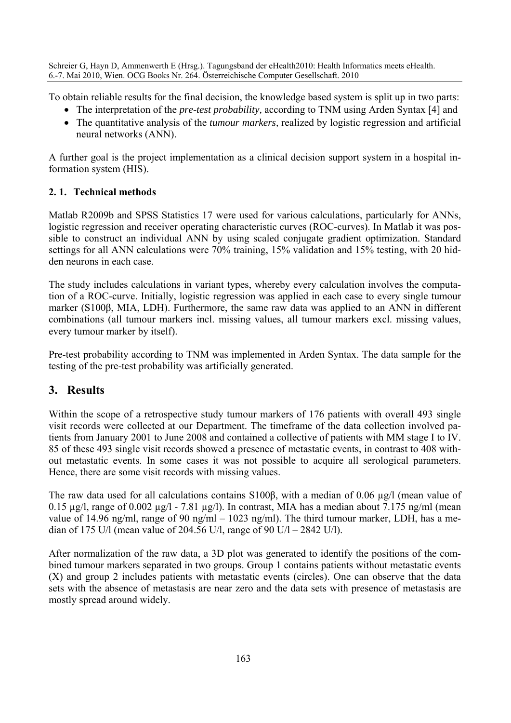To obtain reliable results for the final decision, the knowledge based system is split up in two parts:

- The interpretation of the *pre-test probability,* according to TNM using Arden Syntax [4] and
- The quantitative analysis of the *tumour markers,* realized by logistic regression and artificial neural networks (ANN).

A further goal is the project implementation as a clinical decision support system in a hospital information system (HIS).

## **2. 1. Technical methods**

Matlab R2009b and SPSS Statistics 17 were used for various calculations, particularly for ANNs, logistic regression and receiver operating characteristic curves (ROC-curves). In Matlab it was possible to construct an individual ANN by using scaled conjugate gradient optimization. Standard settings for all ANN calculations were 70% training, 15% validation and 15% testing, with 20 hidden neurons in each case.

The study includes calculations in variant types, whereby every calculation involves the computation of a ROC-curve. Initially, logistic regression was applied in each case to every single tumour marker (S100β, MIA, LDH). Furthermore, the same raw data was applied to an ANN in different combinations (all tumour markers incl. missing values, all tumour markers excl. missing values, every tumour marker by itself).

Pre-test probability according to TNM was implemented in Arden Syntax. The data sample for the testing of the pre-test probability was artificially generated.

# **3. Results**

Within the scope of a retrospective study tumour markers of 176 patients with overall 493 single visit records were collected at our Department. The timeframe of the data collection involved patients from January 2001 to June 2008 and contained a collective of patients with MM stage I to IV. 85 of these 493 single visit records showed a presence of metastatic events, in contrast to 408 without metastatic events. In some cases it was not possible to acquire all serological parameters. Hence, there are some visit records with missing values.

The raw data used for all calculations contains S100β, with a median of 0.06 µg/l (mean value of 0.15  $\mu$ g/l, range of 0.002  $\mu$ g/l - 7.81  $\mu$ g/l). In contrast, MIA has a median about 7.175 ng/ml (mean value of 14.96 ng/ml, range of 90 ng/ml – 1023 ng/ml). The third tumour marker, LDH, has a median of 175 U/l (mean value of 204.56 U/l, range of 90 U/l – 2842 U/l).

After normalization of the raw data, a 3D plot was generated to identify the positions of the combined tumour markers separated in two groups. Group 1 contains patients without metastatic events (X) and group 2 includes patients with metastatic events (circles). One can observe that the data sets with the absence of metastasis are near zero and the data sets with presence of metastasis are mostly spread around widely.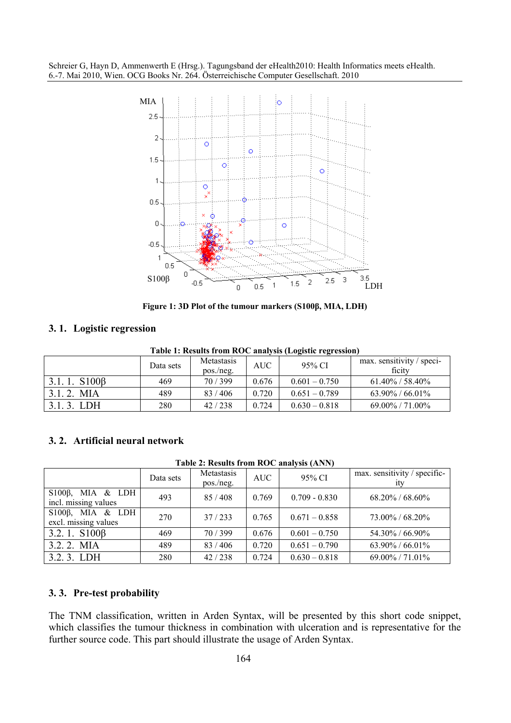

**Figure 1: 3D Plot of the tumour markers (S100β, MIA, LDH)** 

#### **3. 1. Logistic regression**

**Table 1: Results from ROC analysis (Logistic regression)** 

|                    | Data sets | <b>Metastasis</b><br>pos./neg. | AUC   | 95% CI          | max. sensitivity / speci-<br>ficity |
|--------------------|-----------|--------------------------------|-------|-----------------|-------------------------------------|
| $3.1.1. S100\beta$ | 469       | 70/399                         | 0.676 | $0.601 - 0.750$ | $61.40\%$ / 58.40%                  |
| $3.1.2.$ MIA       | 489       | 83/406                         | 0.720 | $0.651 - 0.789$ | $63.90\% / 66.01\%$                 |
| LDH<br>313         | 280       | 42/238                         | 0.724 | $0.630 - 0.818$ | $69.00\%$ / $71.00\%$               |

### **3. 2. Artificial neural network**

**Table 2: Results from ROC analysis (ANN)** 

|                                                  | Data sets | <b>Metastasis</b><br>pos./neg. | <b>AUC</b> | 95% CI          | max. sensitivity / specific-<br>ity |
|--------------------------------------------------|-----------|--------------------------------|------------|-----------------|-------------------------------------|
| S100 $\beta$ , MIA & LDH<br>incl. missing values | 493       | 85/408                         | 0.769      | $0.709 - 0.830$ | $68.20\% / 68.60\%$                 |
| S100 $\beta$ , MIA & LDH<br>excl. missing values | 270       | 37/233                         | 0.765      | $0.671 - 0.858$ | 73.00% / 68.20%                     |
| $3.2.1. S100\beta$                               | 469       | 70/399                         | 0.676      | $0.601 - 0.750$ | 54.30% / 66.90%                     |
| 3.2.2. MIA                                       | 489       | 83/406                         | 0.720      | $0.651 - 0.790$ | $63.90\% / 66.01\%$                 |
| 3.2.3. LDH                                       | 280       | 42/238                         | 0.724      | $0.630 - 0.818$ | 69.00% / 71.01%                     |

### **3. 3. Pre-test probability**

The TNM classification, written in Arden Syntax, will be presented by this short code snippet, which classifies the tumour thickness in combination with ulceration and is representative for the further source code. This part should illustrate the usage of Arden Syntax.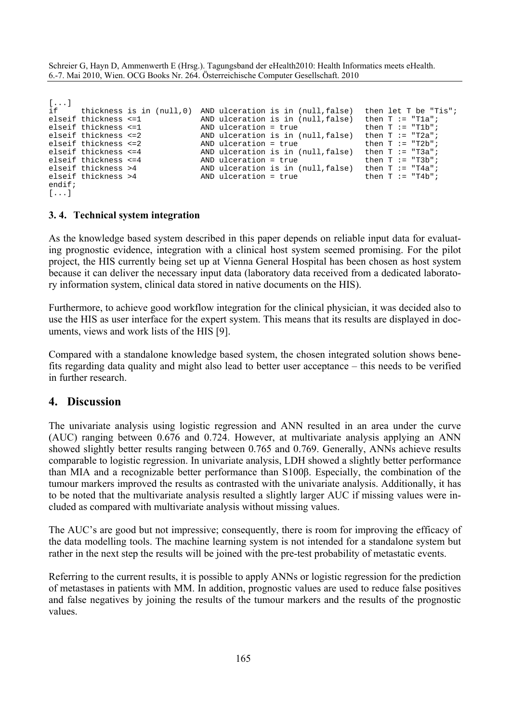```
[...] 
if thickness is in (null,0) AND ulceration is in (null,false) then let T be "Tis";<br>elseif thickness <=1 AND ulceration is in (null,false) then T := "Tla";
elseif thickness <=1 AND ulceration is in (null, false) then T := "Tla";<br>elseif thickness <=1 AND ulceration = true then T := "Tlb";
elseif thickness <=1 AND ulceration = true then T := "T1b";
elseif thickness <=2 AND ulceration is in (null,false) then T := "T2a"; 
elseif thickness <=2 AND ulceration = true then T := "T2b";
elseif thickness <=4 AND ulceration is in (null,false) then T := "T3a"; 
elseif thickness <=4 AND ulceration = true then T := "T3b";
elseif thickness >4 AND ulceration is in (null,false) then T := "T4a"; 
elseif thickness >4 AND ulceration = true then T := "T4b";
endif; 
[...]
```
#### **3. 4. Technical system integration**

As the knowledge based system described in this paper depends on reliable input data for evaluating prognostic evidence, integration with a clinical host system seemed promising. For the pilot project, the HIS currently being set up at Vienna General Hospital has been chosen as host system because it can deliver the necessary input data (laboratory data received from a dedicated laboratory information system, clinical data stored in native documents on the HIS).

Furthermore, to achieve good workflow integration for the clinical physician, it was decided also to use the HIS as user interface for the expert system. This means that its results are displayed in documents, views and work lists of the HIS [9].

Compared with a standalone knowledge based system, the chosen integrated solution shows benefits regarding data quality and might also lead to better user acceptance – this needs to be verified in further research.

### **4. Discussion**

The univariate analysis using logistic regression and ANN resulted in an area under the curve (AUC) ranging between 0.676 and 0.724. However, at multivariate analysis applying an ANN showed slightly better results ranging between 0.765 and 0.769. Generally, ANNs achieve results comparable to logistic regression. In univariate analysis, LDH showed a slightly better performance than MIA and a recognizable better performance than S100β. Especially, the combination of the tumour markers improved the results as contrasted with the univariate analysis. Additionally, it has to be noted that the multivariate analysis resulted a slightly larger AUC if missing values were included as compared with multivariate analysis without missing values.

The AUC's are good but not impressive; consequently, there is room for improving the efficacy of the data modelling tools. The machine learning system is not intended for a standalone system but rather in the next step the results will be joined with the pre-test probability of metastatic events.

Referring to the current results, it is possible to apply ANNs or logistic regression for the prediction of metastases in patients with MM. In addition, prognostic values are used to reduce false positives and false negatives by joining the results of the tumour markers and the results of the prognostic values.